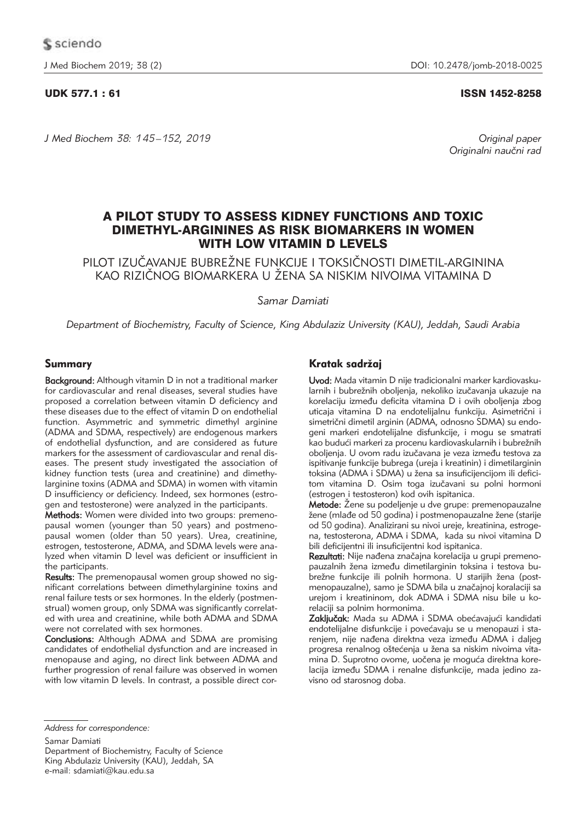## UDK 577.1 : 61 ISSN 1452-8258

*J Med Biochem 38: 145 –152, 2019 Original paper*

Originalni naučni rad

# A PILOT STUDY TO ASSESS KIDNEY FUNCTIONS AND TOXIC DIMETHYL-ARGININES AS RISK BIOMARKERS IN WOMEN WITH LOW VITAMIN D LEVELS

PILOT IZUČAVANJE BUBREŽNE FUNKCIJE I TOKSIČNOSTI DIMETIL-ARGININA KAO RIZIČNOG BIOMARKERA U ŽENA SA NISKIM NIVOIMA VITAMINA D

*Samar Damiati*

*Department of Biochemistry, Faculty of Science, King Abdulaziz University (KAU), Jeddah, Saudi Arabia*

## Summary

Background: Although vitamin D in not a traditional marker for cardiovascular and renal diseases, several studies have proposed a correlation between vitamin D deficiency and these diseases due to the effect of vitamin D on endothelial function. Asymmetric and symmetric dimethyl arginine (ADMA and SDMA, respectively) are endogenous markers of endothelial dysfunction, and are considered as future markers for the assessment of cardiovascular and renal diseases. The present study investigated the association of kidney function tests (urea and creatinine) and dimethylarginine toxins (ADMA and SDMA) in women with vitamin D insufficiency or deficiency. Indeed, sex hormones (estrogen and testosterone) were analyzed in the participants.

Methods: Women were divided into two groups: premenopausal women (younger than 50 years) and postmenopausal women (older than 50 years). Urea, creatinine, estrogen, testosterone, ADMA, and SDMA levels were analyzed when vitamin D level was deficient or insufficient in the participants.

Results: The premenopausal women group showed no significant correlations between dimethylarginine toxins and renal failure tests or sex hormones. In the elderly (postmenstrual) women group, only SDMA was significantly correlated with urea and creatinine, while both ADMA and SDMA were not correlated with sex hormones.

Conclusions: Although ADMA and SDMA are promising candidates of endothelial dysfunction and are increased in menopause and aging, no direct link between ADMA and further progression of renal failure was observed in women with low vitamin D levels. In contrast, a possible direct cor-

## Kratak sadržaj

Uvod: Mada vitamin D nije tradicionalni marker kardiovaskularnih i bubrežnih oboljenja, nekoliko izučavanja ukazuje na korelaciju između deficita vitamina D i ovih oboljenja zbog uticaja vitamina D na endotelijalnu funkciju. Asimetrični i simetrični dimetil arginin (ADMA, odnosno SDMA) su endogeni markeri endotelijalne disfunkcije, i mogu se smatrati kao budući markeri za procenu kardiovaskularnih i bubrežnih oboljenja. U ovom radu izučavana je veza između testova za ispitivanje funkcije bubrega (ureja i kreatinin) i dimetilarginin toksina (ADMA i SDMA) u žena sa insuficijencijom ili deficitom vitamina D. Osim toga izučavani su polni hormoni (estrogen i testosteron) kod ovih ispitanica.

Metode: Žene su podeljenje u dve grupe: premenopauzalne žene (mlađe od 50 godina) i postmenopauzalne žene (starije od 50 godina). Analizirani su nivoi ureje, kreatinina, estrogena, testosterona, ADMA i SDMA, kada su nivoi vitamina D bili deficijentni ili insuficijentni kod ispitanica.

Rezultati: Nije nađena značajna korelacija u grupi premenopauzalnih žena između dimetilarginin toksina i testova bubrežne funkcije ili polnih hormona. U starijih žena (postmenopauzalne), samo je SDMA bila u značajnoj koralaciji sa urejom i kreatininom, dok ADMA i SDMA nisu bile u korelaciji sa polnim hormonima.

Zaključak: Mada su ADMA i SDMA obećavajući kandidati endotelijalne disfunkcije i povećavaju se u menopauzi i starenjem, nije nađena direktna veza između ADMA i daljeg progresa renalnog oštećenja u žena sa niskim nivoima vitamina D. Suprotno ovome, uočena je moguća direktna korelacija između SDMA i renalne disfunkcije, mada jedino zavisno od starosnog doba.

*Address for correspondence:*

Samar Damiati Department of Biochemistry, Faculty of Science King Abdulaziz University (KAU), Jeddah, SA e-mail: sdamiati@kau.edu.sa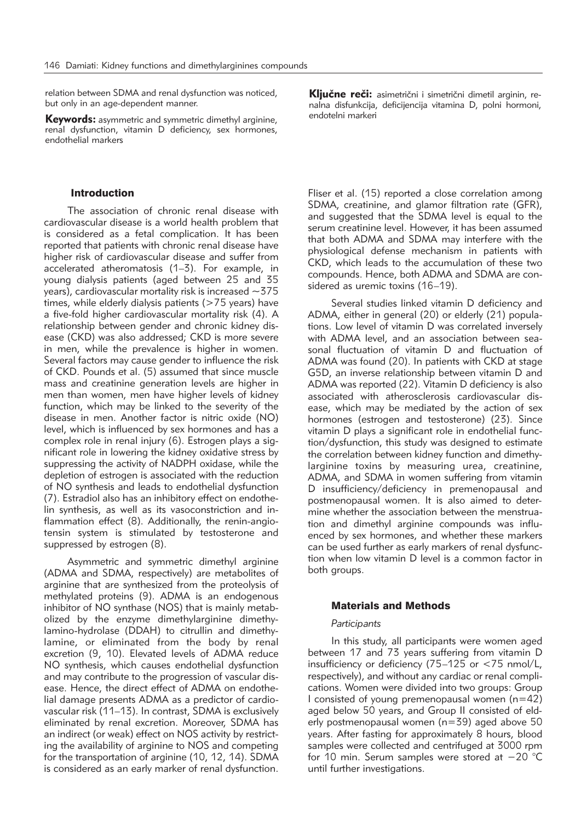relation between SDMA and renal dysfunction was noticed, but only in an age-dependent manner.

Keywords: asymmetric and symmetric dimethyl arginine, renal dysfunction, vitamin D deficiency, sex hormones, endothelial markers

## Introduction

The association of chronic renal disease with cardiovascular disease is a world health problem that is considered as a fetal complication. It has been reported that patients with chronic renal disease have higher risk of cardiovascular disease and suffer from accelerated atheromatosis (1–3). For example, in young dialysis patients (aged between 25 and 35 years), cardiovascular mortality risk is increased ∼375 times, while elderly dialysis patients ( $>75$  years) have a five-fold higher cardiovascular mortality risk (4). A relationship between gender and chronic kidney disease (CKD) was also addressed; CKD is more severe in men, while the prevalence is higher in women. Several factors may cause gender to influence the risk of CKD. Pounds et al. (5) assumed that since muscle mass and creatinine generation levels are higher in men than women, men have higher levels of kidney function, which may be linked to the severity of the disease in men. Another factor is nitric oxide (NO) level, which is influenced by sex hormones and has a complex role in renal injury (6). Estrogen plays a significant role in lowering the kidney oxidative stress by suppressing the activity of NADPH oxidase, while the depletion of estrogen is associated with the reduction of NO synthesis and leads to endothelial dysfunction (7). Estradiol also has an inhibitory effect on endothelin synthesis, as well as its vasoconstriction and inflammation effect (8). Additionally, the renin-angiotensin system is stimulated by testosterone and suppressed by estrogen (8).

Asymmetric and symmetric dimethyl arginine (ADMA and SDMA, respectively) are metabolites of arginine that are synthesized from the proteolysis of methylated proteins (9). ADMA is an endogenous inhibitor of NO synthase (NOS) that is mainly metabolized by the enzyme dimethylarginine dimethylamino-hydrolase (DDAH) to citrullin and dimethylamine, or eliminated from the body by renal excretion (9, 10). Elevated levels of ADMA reduce NO synthesis, which causes endothelial dysfunction and may contribute to the progression of vascular disease. Hence, the direct effect of ADMA on endothelial damage presents ADMA as a predictor of cardiovascular risk (11–13). In contrast, SDMA is exclusively eliminated by renal excretion. Moreover, SDMA has an indirect (or weak) effect on NOS activity by restricting the availability of arginine to NOS and competing for the transportation of arginine (10, 12, 14). SDMA is considered as an early marker of renal dysfunction. Ključne reči: asimetrični i simetrični dimetil arginin, renalna disfunkcija, deficijencija vitamina D, polni hormoni, endotelni markeri

Fliser et al. (15) reported a close correlation among SDMA, creatinine, and glamor filtration rate (GFR), and suggested that the SDMA level is equal to the serum creatinine level. However, it has been assumed that both ADMA and SDMA may interfere with the physiological defense mechanism in patients with CKD, which leads to the accumulation of these two compounds. Hence, both ADMA and SDMA are considered as uremic toxins (16–19).

Several studies linked vitamin D deficiency and ADMA, either in general (20) or elderly (21) populations. Low level of vitamin D was correlated inversely with ADMA level, and an association between seasonal fluctuation of vitamin D and fluctuation of ADMA was found (20). In patients with CKD at stage G5D, an inverse relationship between vitamin D and ADMA was reported (22). Vitamin D deficiency is also associated with atherosclerosis cardiovascular disease, which may be mediated by the action of sex hormones (estrogen and testosterone) (23). Since vitamin D plays a significant role in endothelial function/dysfunction, this study was designed to estimate the correlation between kidney function and dimethylarginine toxins by measuring urea, creatinine, ADMA, and SDMA in women suffering from vitamin D insufficiency/deficiency in premenopausal and postmenopausal women. It is also aimed to determine whether the association between the menstruation and dimethyl arginine compounds was influenced by sex hormones, and whether these markers can be used further as early markers of renal dysfunction when low vitamin D level is a common factor in both groups.

#### Materials and Methods

#### *Participants*

In this study, all participants were women aged between 17 and 73 years suffering from vitamin D insufficiency or deficiency (75–125 or <75 nmol/L, respectively), and without any cardiac or renal complications. Women were divided into two groups: Group I consisted of young premenopausal women  $(n=42)$ aged below 50 years, and Group II consisted of elderly postmenopausal women (n=39) aged above 50 years. After fasting for approximately 8 hours, blood samples were collected and centrifuged at 3000 rpm for 10 min. Serum samples were stored at −20 °C until further investigations.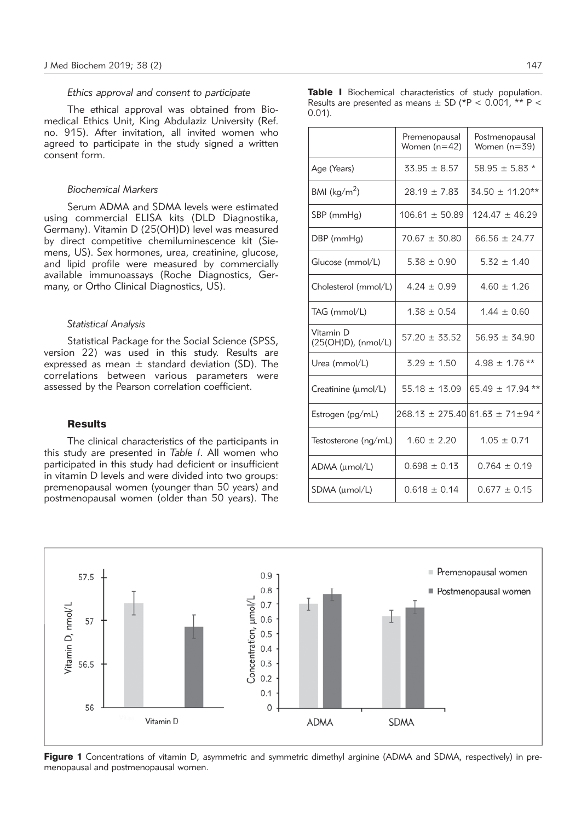#### *Ethics approval and consent to participate*

The ethical approval was obtained from Biomedical Ethics Unit, King Abdulaziz University (Ref. no. 915). After invitation, all invited women who agreed to participate in the study signed a written consent form.

## *Biochemical Markers*

Serum ADMA and SDMA levels were estimated using commercial ELISA kits (DLD Diagnostika, Germany). Vitamin D (25(OH)D) level was measured by direct competitive chemiluminescence kit (Siemens, US). Sex hormones, urea, creatinine, glucose, and lipid profile were measured by commercially available immunoassays (Roche Diagnostics, Germany, or Ortho Clinical Diagnostics, US).

#### *Statistical Analysis*

Statistical Package for the Social Science (SPSS, version 22) was used in this study. Results are expressed as mean  $\pm$  standard deviation (SD). The correlations between various parameters were assessed by the Pearson correlation coefficient.

#### **Results**

The clinical characteristics of the participants in this study are presented in *Table I*. All women who participated in this study had deficient or insufficient in vitamin D levels and were divided into two groups: premenopausal women (younger than 50 years) and postmenopausal women (older than 50 years). The Table I Biochemical characteristics of study population. Results are presented as means  $\pm$  SD (\*P < 0.001, \*\* P < 0.01).

|                                  | Premenopausal<br>Women $(n=42)$ | Postmenopausal<br>Women $(n=39)$            |  |  |
|----------------------------------|---------------------------------|---------------------------------------------|--|--|
| Age (Years)                      | $33.95 \pm 8.57$                | $58.95 \pm 5.83$ *                          |  |  |
| BMI ( $\text{kg/m}^2$ )          | $28.19 \pm 7.83$                | $34.50 \pm 11.20**$                         |  |  |
| SBP (mmHg)                       | $106.61 \pm 50.89$              | $124.47 \pm 46.29$                          |  |  |
| DBP (mmHg)                       | $70.67 \pm 30.80$               | $66.56 \pm 24.77$                           |  |  |
| Glucose (mmol/L)                 | $5.38 \pm 0.90$                 | $5.32 \pm 1.40$                             |  |  |
| Cholesterol (mmol/L)             | $4.24 \pm 0.99$                 | $4.60 \pm 1.26$                             |  |  |
| TAG (mmol/L)                     | $1.38 \pm 0.54$                 | $1.44 \pm 0.60$                             |  |  |
| Vitamin D<br>(25(OH)D), (nmol/L) | $57.20 \pm 33.52$               | $56.93 \pm 34.90$                           |  |  |
| Urea (mmol/L)                    | $3.29 \pm 1.50$                 | $4.98 \pm 1.76$ **                          |  |  |
| Creatinine (umol/L)              | $55.18 \pm 13.09$               | $65.49 \pm 17.94$ **                        |  |  |
| Estrogen (pg/mL)                 |                                 | $268.13 \pm 275.40$ 61.63 $\pm 71 \pm 94$ * |  |  |
| Testosterone (ng/mL)             | $1.60 \pm 2.20$                 | $1.05 \pm 0.71$                             |  |  |
| ADMA (µmol/L)                    | $0.698 \pm 0.13$                | $0.764 \pm 0.19$                            |  |  |
| SDMA (µmol/L)                    | $0.618 \pm 0.14$                | $0.677 + 0.15$                              |  |  |



Figure 1 Concentrations of vitamin D, asymmetric and symmetric dimethyl arginine (ADMA and SDMA, respectively) in premenopausal and postmenopausal women.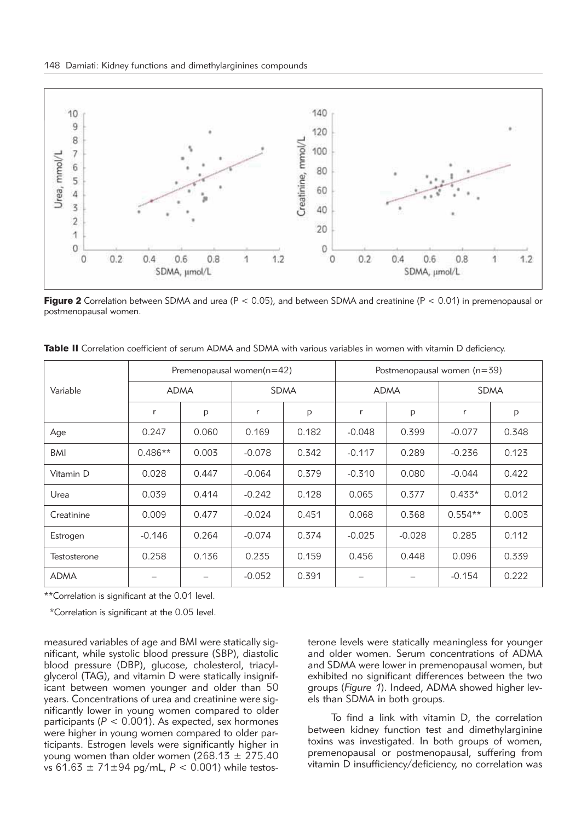

**Figure 2** Correlation between SDMA and urea ( $P < 0.05$ ), and between SDMA and creatinine ( $P < 0.01$ ) in premenopausal or postmenopausal women.

| Variable     | Premenopausal women $(n=42)$ |       |          | Postmenopausal women $(n=39)$ |             |          |             |       |
|--------------|------------------------------|-------|----------|-------------------------------|-------------|----------|-------------|-------|
|              | <b>ADMA</b>                  |       | SDMA     |                               | <b>ADMA</b> |          | <b>SDMA</b> |       |
|              | r                            | P     | r        | p                             | r           | p        | r           | p     |
| Age          | 0.247                        | 0.060 | 0.169    | 0.182                         | $-0.048$    | 0.399    | $-0.077$    | 0.348 |
| <b>BMI</b>   | $0.486**$                    | 0.003 | $-0.078$ | 0.342                         | $-0.117$    | 0.289    | $-0.236$    | 0.123 |
| Vitamin D    | 0.028                        | 0.447 | $-0.064$ | 0.379                         | $-0.310$    | 0.080    | $-0.044$    | 0.422 |
| Urea         | 0.039                        | 0.414 | $-0.242$ | 0.128                         | 0.065       | 0.377    | $0.433*$    | 0.012 |
| Creatinine   | 0.009                        | 0.477 | $-0.024$ | 0.451                         | 0.068       | 0.368    | $0.554**$   | 0.003 |
| Estrogen     | $-0.146$                     | 0.264 | $-0.074$ | 0.374                         | $-0.025$    | $-0.028$ | 0.285       | 0.112 |
| Testosterone | 0.258                        | 0.136 | 0.235    | 0.159                         | 0.456       | 0.448    | 0.096       | 0.339 |
| <b>ADMA</b>  |                              |       | $-0.052$ | 0.391                         |             |          | $-0.154$    | 0.222 |

Table II Correlation coefficient of serum ADMA and SDMA with various variables in women with vitamin D deficiency.

\*\*Correlation is significant at the 0.01 level.

\*Correlation is significant at the 0.05 level.

measured variables of age and BMI were statically significant, while systolic blood pressure (SBP), diastolic blood pressure (DBP), glucose, cholesterol, triacylglycerol (TAG), and vitamin D were statically insignificant between women younger and older than 50 years. Concentrations of urea and creatinine were significantly lower in young women compared to older participants  $(P < 0.001)$ . As expected, sex hormones were higher in young women compared to older participants. Estrogen levels were significantly higher in young women than older women  $(268.13 + 275.40)$ vs 61.63 ± 71±94 pg/mL, *P* < 0.001) while testosterone levels were statically meaningless for younger and older women. Serum concentrations of ADMA and SDMA were lower in premenopausal women, but exhibited no significant differences between the two groups (*Figure 1*). Indeed, ADMA showed higher levels than SDMA in both groups.

To find a link with vitamin D, the correlation between kidney function test and dimethylarginine toxins was investigated. In both groups of women, premenopausal or postmenopausal, suffering from vitamin D insufficiency/deficiency, no correlation was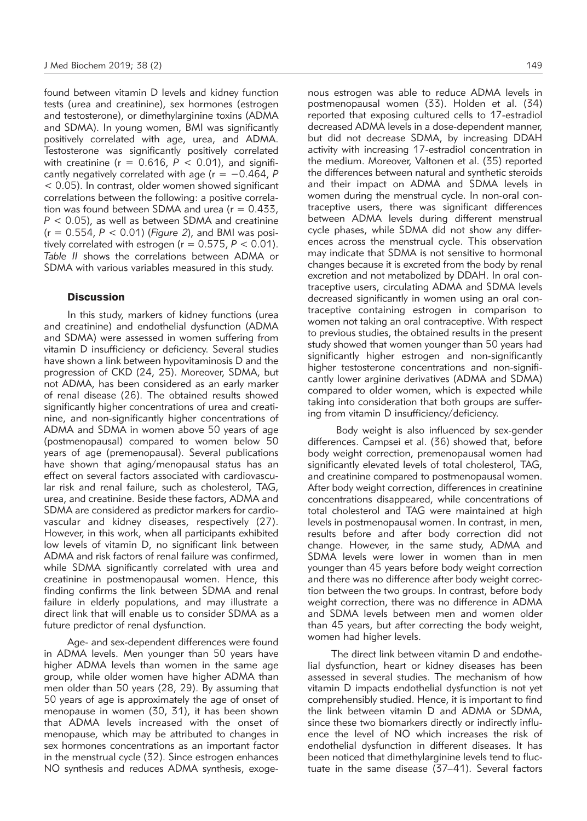found between vitamin D levels and kidney function tests (urea and creatinine), sex hormones (estrogen and testosterone), or dimethylarginine toxins (ADMA and SDMA). In young women, BMI was significantly positively correlated with age, urea, and ADMA. Testosterone was significantly positively correlated with creatinine ( $r = 0.616$ ,  $\vec{P} < 0.01$ ), and significantly negatively correlated with age (r = −0.464, *P* < 0.05). In contrast, older women showed significant correlations between the following: a positive correlation was found between SDMA and urea ( $r = 0.433$ ,  $P < 0.05$ ), as well as between SDMA and creatinine (r = 0.554, *P* < 0.01) (*Figure 2*), and BMI was positively correlated with estrogen ( $r = 0.575$ ,  $P < 0.01$ ). *Table II* shows the correlations between ADMA or SDMA with various variables measured in this study.

## **Discussion**

In this study, markers of kidney functions (urea and creatinine) and endothelial dysfunction (ADMA and SDMA) were assessed in women suffering from vitamin D insufficiency or deficiency. Several studies have shown a link between hypovitaminosis D and the progression of CKD (24, 25). Moreover, SDMA, but not ADMA, has been considered as an early marker of renal disease (26). The obtained results showed significantly higher concentrations of urea and creatinine, and non-significantly higher concentrations of ADMA and SDMA in women above 50 years of age (postmenopausal) compared to women below 50 years of age (premenopausal). Several publications have shown that aging/menopausal status has an effect on several factors associated with cardiovascular risk and renal failure, such as cholesterol, TAG, urea, and creatinine. Beside these factors, ADMA and SDMA are considered as predictor markers for cardiovascular and kidney diseases, respectively (27). However, in this work, when all participants exhibited low levels of vitamin D, no significant link between ADMA and risk factors of renal failure was confirmed, while SDMA significantly correlated with urea and creatinine in postmenopausal women. Hence, this finding confirms the link between SDMA and renal failure in elderly populations, and may illustrate a direct link that will enable us to consider SDMA as a future predictor of renal dysfunction.

Age- and sex-dependent differences were found in ADMA levels. Men younger than 50 years have higher ADMA levels than women in the same age group, while older women have higher ADMA than men older than 50 years (28, 29). By assuming that 50 years of age is approximately the age of onset of menopause in women (30, 31), it has been shown that ADMA levels increased with the onset of menopause, which may be attributed to changes in sex hormones concentrations as an important factor in the menstrual cycle (32). Since estrogen enhances NO synthesis and reduces ADMA synthesis, exogenous estrogen was able to reduce ADMA levels in postmenopausal women (33). Holden et al. (34) reported that exposing cultured cells to 17-estradiol decreased ADMA levels in a dose-dependent manner, but did not decrease SDMA, by increasing DDAH activity with increasing 17-estradiol concentration in the medium. Moreover, Valtonen et al. (35) reported the differences between natural and synthetic steroids and their impact on ADMA and SDMA levels in women during the menstrual cycle. In non-oral contraceptive users, there was significant differences between ADMA levels during different menstrual cycle phases, while SDMA did not show any differences across the menstrual cycle. This observation may indicate that SDMA is not sensitive to hormonal changes because it is excreted from the body by renal excretion and not metabolized by DDAH. In oral contraceptive users, circulating ADMA and SDMA levels decreased significantly in women using an oral contraceptive containing estrogen in comparison to women not taking an oral contraceptive. With respect to previous studies, the obtained results in the present study showed that women younger than 50 years had significantly higher estrogen and non-significantly higher testosterone concentrations and non-significantly lower arginine derivatives (ADMA and SDMA) compared to older women, which is expected while taking into consideration that both groups are suffering from vitamin D insufficiency/deficiency.

Body weight is also influenced by sex-gender differences. Campsei et al. (36) showed that, before body weight correction, premenopausal women had significantly elevated levels of total cholesterol, TAG, and creatinine compared to postmenopausal women. After body weight correction, differences in creatinine concentrations disappeared, while concentrations of total cholesterol and TAG were maintained at high levels in postmenopausal women. In contrast, in men, results before and after body correction did not change. However, in the same study, ADMA and SDMA levels were lower in women than in men younger than 45 years before body weight correction and there was no difference after body weight correction between the two groups. In contrast, before body weight correction, there was no difference in ADMA and SDMA levels between men and women older than 45 years, but after correcting the body weight, women had higher levels.

The direct link between vitamin D and endothelial dysfunction, heart or kidney diseases has been assessed in several studies. The mechanism of how vitamin D impacts endothelial dysfunction is not yet comprehensibly studied. Hence, it is important to find the link between vitamin D and ADMA or SDMA, since these two biomarkers directly or indirectly influence the level of NO which increases the risk of endothelial dysfunction in different diseases. It has been noticed that dimethylarginine levels tend to fluctuate in the same disease (37–41). Several factors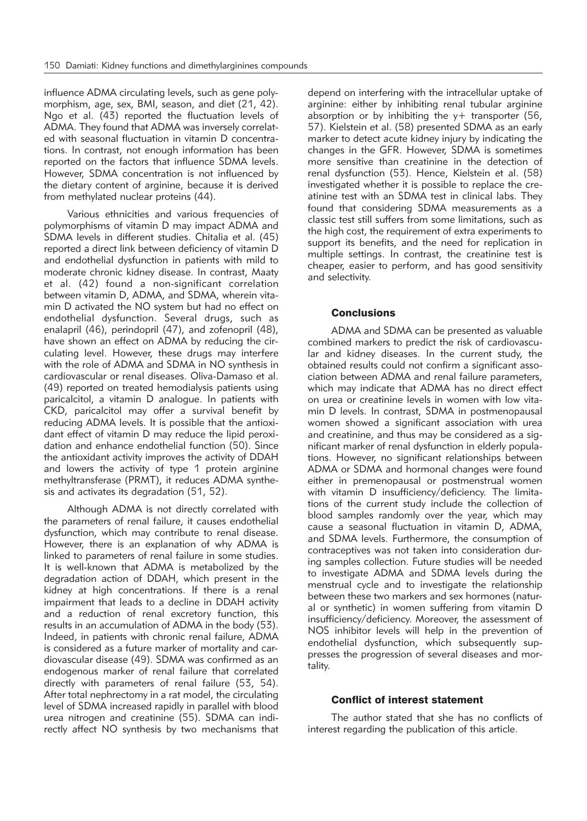influence ADMA circulating levels, such as gene polymorphism, age, sex, BMI, season, and diet (21, 42). Ngo et al. (43) reported the fluctuation levels of ADMA. They found that ADMA was inversely correlated with seasonal fluctuation in vitamin D concentrations. In contrast, not enough information has been reported on the factors that influence SDMA levels. However, SDMA concentration is not influenced by the dietary content of arginine, because it is derived from methylated nuclear proteins (44).

Various ethnicities and various frequencies of polymorphisms of vitamin D may impact ADMA and SDMA levels in different studies. Chitalia et al. (45) reported a direct link between deficiency of vitamin D and endothelial dysfunction in patients with mild to moderate chronic kidney disease. In contrast, Maaty et al. (42) found a non-significant correlation between vitamin D, ADMA, and SDMA, wherein vitamin D activated the NO system but had no effect on endothelial dysfunction. Several drugs, such as enalapril (46), perindopril (47), and zofenopril (48), have shown an effect on ADMA by reducing the circulating level. However, these drugs may interfere with the role of ADMA and SDMA in NO synthesis in cardiovascular or renal diseases. Oliva-Damaso et al. (49) reported on treated hemodialysis patients using paricalcitol, a vitamin D analogue. In patients with CKD, paricalcitol may offer a survival benefit by reducing ADMA levels. It is possible that the antioxidant effect of vitamin D may reduce the lipid peroxidation and enhance endothelial function (50). Since the antioxidant activity improves the activity of DDAH and lowers the activity of type 1 protein arginine methyltransferase (PRMT), it reduces ADMA synthesis and activates its degradation (51, 52).

Although ADMA is not directly correlated with the parameters of renal failure, it causes endothelial dysfunction, which may contribute to renal disease. However, there is an explanation of why ADMA is linked to parameters of renal failure in some studies. It is well-known that ADMA is metabolized by the degradation action of DDAH, which present in the kidney at high concentrations. If there is a renal impairment that leads to a decline in DDAH activity and a reduction of renal excretory function, this results in an accumulation of ADMA in the body (53). Indeed, in patients with chronic renal failure, ADMA is considered as a future marker of mortality and cardiovascular disease (49). SDMA was confirmed as an endogenous marker of renal failure that correlated directly with parameters of renal failure (53, 54). After total nephrectomy in a rat model, the circulating level of SDMA increased rapidly in parallel with blood urea nitrogen and creatinine (55). SDMA can indirectly affect NO synthesis by two mechanisms that depend on interfering with the intracellular uptake of arginine: either by inhibiting renal tubular arginine absorption or by inhibiting the  $y+$  transporter (56, 57). Kielstein et al. (58) presented SDMA as an early marker to detect acute kidney injury by indicating the changes in the GFR. However, SDMA is sometimes more sensitive than creatinine in the detection of renal dysfunction (53). Hence, Kielstein et al. (58) investigated whether it is possible to replace the creatinine test with an SDMA test in clinical labs. They found that considering SDMA measurements as a classic test still suffers from some limitations, such as the high cost, the requirement of extra experiments to support its benefits, and the need for replication in multiple settings. In contrast, the creatinine test is cheaper, easier to perform, and has good sensitivity and selectivity.

## **Conclusions**

ADMA and SDMA can be presented as valuable combined markers to predict the risk of cardiovascular and kidney diseases. In the current study, the obtained results could not confirm a significant association between ADMA and renal failure parameters, which may indicate that ADMA has no direct effect on urea or creatinine levels in women with low vitamin D levels. In contrast, SDMA in postmenopausal women showed a significant association with urea and creatinine, and thus may be considered as a significant marker of renal dysfunction in elderly populations. However, no significant relationships between ADMA or SDMA and hormonal changes were found either in premenopausal or postmenstrual women with vitamin D insufficiency/deficiency. The limitations of the current study include the collection of blood samples randomly over the year, which may cause a seasonal fluctuation in vitamin D, ADMA, and SDMA levels. Furthermore, the consumption of contraceptives was not taken into consideration during samples collection. Future studies will be needed to investigate ADMA and SDMA levels during the menstrual cycle and to investigate the relationship between these two markers and sex hormones (natural or synthetic) in women suffering from vitamin D insufficiency/deficiency. Moreover, the assessment of NOS inhibitor levels will help in the prevention of endothelial dysfunction, which subsequently suppresses the progression of several diseases and mortality.

### Conflict of interest statement

The author stated that she has no conflicts of interest regarding the publication of this article.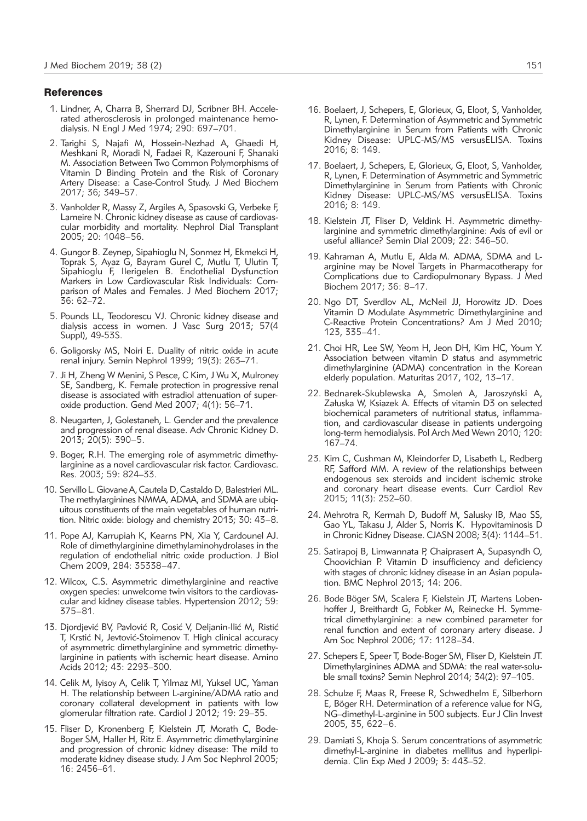#### **References**

- 1. Lindner, A, Charra B, Sherrard DJ, Scribner BH. Accelerated atherosclerosis in prolonged maintenance hemodialysis. N Engl J Med 1974; 290: 697–701.
- 2. Tarighi S, Najafi M, Hossein-Nezhad A, Ghaedi H, Meshkani R, Moradi N, Fadaei R, Kazerouni F, Shanaki M. Association Between Two Common Polymorphisms of Vitamin D Binding Protein and the Risk of Coronary Artery Disease: a Case-Control Study. J Med Biochem 2017; 36; 349–57.
- 3. Vanholder R, Massy Z, Argiles A, Spasovski G, Verbeke F, Lameire N. Chronic kidney disease as cause of cardiovascular morbidity and mortality. Nephrol Dial Transplant 2005; 20: 1048–56.
- 4. Gungor B. Zeynep, Sipahioglu N, Sonmez H, Ekmekci H, Toprak S, Ayaz G, Bayram Gurel C, Mutlu T, Ulutin T, Sipahioglu F, Ilerigelen B. Endothelial Dysfunction Markers in Low Cardiovascular Risk Individuals: Comparison of Males and Females. J Med Biochem 2017; 36: 62–72.
- 5. Pounds LL, Teodorescu VJ. Chronic kidney disease and dialysis access in women. J Vasc Surg 2013; 57(4 Suppl), 49-53S.
- 6. Goligorsky MS, Noiri E. Duality of nitric oxide in acute renal injury. Semin Nephrol 1999; 19(3): 263–71.
- 7. Ji H, Zheng W Menini, S Pesce, C Kim, J Wu X, Mulroney SE, Sandberg, K. Female protection in progressive renal disease is associated with estradiol attenuation of superoxide production. Gend Med 2007; 4(1): 56–71.
- 8. Neugarten, J, Golestaneh, L. Gender and the prevalence and progression of renal disease. Adv Chronic Kidney D. 2013; 20(5): 390–5.
- 9. Boger, R.H. The emerging role of asymmetric dimethylarginine as a novel cardiovascular risk factor. Cardiovasc. Res. 2003; 59: 824–33.
- 10. ServilloL.GiovaneA,Cautela D,Castaldo D, Balestrieri ML. The methylarginines NMMA, ADMA, and SDMA are ubiquitous constituents of the main vegetables of human nutrition. Nitric oxide: biology and chemistry 2013; 30: 43–8.
- 11. Pope AJ, Karrupiah K, Kearns PN, Xia Y, Cardounel AJ. Role of dimethylarginine dimethylaminohydrolases in the regulation of endothelial nitric oxide production. J Biol Chem 2009, 284: 35338–47.
- 12. Wilcox, C.S. Asymmetric dimethylarginine and reactive oxygen species: unwelcome twin visitors to the cardiovascular and kidney disease tables. Hypertension 2012; 59: 375–81.
- 13. Djordjević BV, Pavlović R, Cosić V, Deljanin-Ilić M, Ristić T, Krstić N, Jevtović-Stoimenov T. High clinical accuracy of asymmetric dimethylarginine and symmetric dimethylarginine in patients with ischemic heart disease. Amino Acids 2012; 43: 2293–300.
- 14. Celik M, Iyisoy A, Celik T, Yilmaz MI, Yuksel UC, Yaman H. The relationship between L-arginine/ADMA ratio and coronary collateral development in patients with low glomerular filtration rate. Cardiol J 2012; 19: 29–35.
- 15. Fliser D, Kronenberg F, Kielstein JT, Morath C, Bode-Boger SM, Haller H, Ritz E. Asymmetric dimethylarginine and progression of chronic kidney disease: The mild to moderate kidney disease study. J Am Soc Nephrol 2005; 16: 2456–61.
- 16. Boelaert, J, Schepers, E, Glorieux, G, Eloot, S, Vanholder, R, Lynen, F. Determination of Asymmetric and Symmetric Dimethylarginine in Serum from Patients with Chronic Kidney Disease: UPLC-MS/MS versusELISA. Toxins 2016; 8: 149.
- 17. Boelaert, J, Schepers, E, Glorieux, G, Eloot, S, Vanholder, R, Lynen, F. Determination of Asymmetric and Symmetric Dimethylarginine in Serum from Patients with Chronic Kidney Disease: UPLC-MS/MS versusELISA. Toxins 2016; 8: 149.
- 18. Kielstein JT, Fliser D, Veldink H. Asymmetric dimethylarginine and symmetric dimethylarginine: Axis of evil or useful alliance? Semin Dial 2009; 22: 346–50.
- 19. Kahraman A, Mutlu E, Alda M. ADMA, SDMA and Larginine may be Novel Targets in Pharmacotherapy for Complications due to Cardiopulmonary Bypass. J Med Biochem 2017; 36: 8–17.
- 20. Ngo DT, Sverdlov AL, McNeil JJ, Horowitz JD. Does Vitamin D Modulate Asymmetric Dimethylarginine and C-Reactive Protein Concentrations? Am J Med 2010; 123, 335–41.
- 21. Choi HR, Lee SW, Yeom H, Jeon DH, Kim HC, Youm Y. Association between vitamin D status and asymmetric dimethylarginine (ADMA) concentration in the Korean elderly population. Maturitas 2017, 102, 13–17.
- 22. Bednarek-Skublewska A, Smoleń A, Jaroszyński A, Załuska W, Ksiazek A. Effects of vitamin D3 on selected biochemical parameters of nutritional status, inflammation, and cardiovascular disease in patients undergoing long-term hemodialysis. Pol Arch Med Wewn 2010; 120: 167–74.
- 23. Kim C, Cushman M, Kleindorfer D, Lisabeth L, Redberg RF, Safford MM. A review of the relationships between endogenous sex steroids and incident ischemic stroke and coronary heart disease events. Curr Cardiol Rev 2015; 11(3): 252–60.
- 24. Mehrotra R, Kermah D, Budoff M, Salusky IB, Mao SS, Gao YL, Takasu J, Alder S, Norris K. Hypovitaminosis D in Chronic Kidney Disease. CJASN 2008; 3(4): 1144–51.
- 25. Satirapoj B, Limwannata P, Chaiprasert A, Supasyndh O, Choovichian P. Vitamin D insufficiency and deficiency with stages of chronic kidney disease in an Asian population. BMC Nephrol 2013; 14: 206.
- 26. Bode Böger SM, Scalera F, Kielstein JT, Martens Lobenhoffer J, Breithardt G, Fobker M, Reinecke H. Symmetrical dimethylarginine: a new combined parameter for renal function and extent of coronary artery disease. J Am Soc Nephrol 2006; 17: 1128–34.
- 27. Schepers E, Speer T, Bode-Boger SM, Fliser D, Kielstein JT. Dimethylarginines ADMA and SDMA: the real water-soluble small toxins? Semin Nephrol 2014; 34(2): 97–105.
- 28. Schulze F, Maas R, Freese R, Schwedhelm E, Silberhorn E, Böger RH. Determination of a reference value for NG, NG–dimethyl-L-arginine in 500 subjects. Eur J Clin Invest 2005, 35, 622–6.
- 29. Damiati S, Khoja S. Serum concentrations of asymmetric dimethyl-L-arginine in diabetes mellitus and hyperlipidemia. Clin Exp Med J 2009; 3: 443–52.